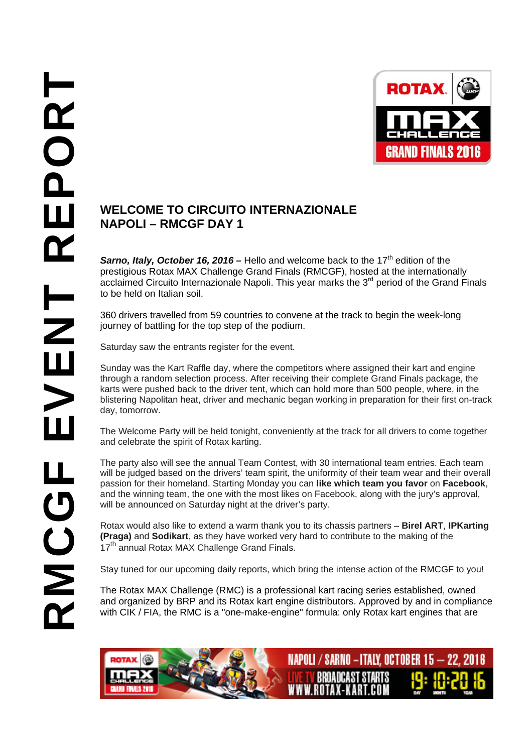

## **NAPOLI – RMCGF DAY 1**

**Sarno, Italy, October 16, 2016** – Hello and welcome back to the 17<sup>th</sup> edition of the prestigious Rotax MAX Challenge Grand Finals (RMCGF), hosted at the internationally acclaimed Circuito Internazionale Napoli. This year marks the 3<sup>rd</sup> period of the Grand Finals to be held on Italian soil.

360 drivers travelled from 59 countries to convene at the track to begin the week-long journey of battling for the top step of the podium.

Saturday saw the entrants register for the event.

Sunday was the Kart Raffle day, where the competitors where assigned their kart and engine through a random selection process. After receiving their complete Grand Finals package, the karts were pushed back to the driver tent, which can hold more than 500 people, where, in the blistering Napolitan heat, driver and mechanic began working in preparation for their first on-track day, tomorrow.

The Welcome Party will be held tonight, conveniently at the track for all drivers to come together and celebrate the spirit of Rotax karting.

The party also will see the annual Team Contest, with 30 international team entries. Each team will be judged based on the drivers' team spirit, the uniformity of their team wear and their overall passion for their homeland. Starting Monday you can **like which team you favor** on **Facebook**, and the winning team, the one with the most likes on Facebook, along with the jury's approval, will be announced on Saturday night at the driver's party.

Rotax would also like to extend a warm thank you to its chassis partners – **Birel ART**, **IPKarting (Praga)** and **Sodikart**, as they have worked very hard to contribute to the making of the 17<sup>th</sup> annual Rotax MAX Challenge Grand Finals.

Stay tuned for our upcoming daily reports, which bring the intense action of the RMCGF to you!

The Rotax MAX Challenge (RMC) is a professional kart racing series established, owned and organized by BRP and its Rotax kart engine distributors. Approved by and in compliance with CIK / FIA, the RMC is a "one-make-engine" formula: only Rotax kart engines that are